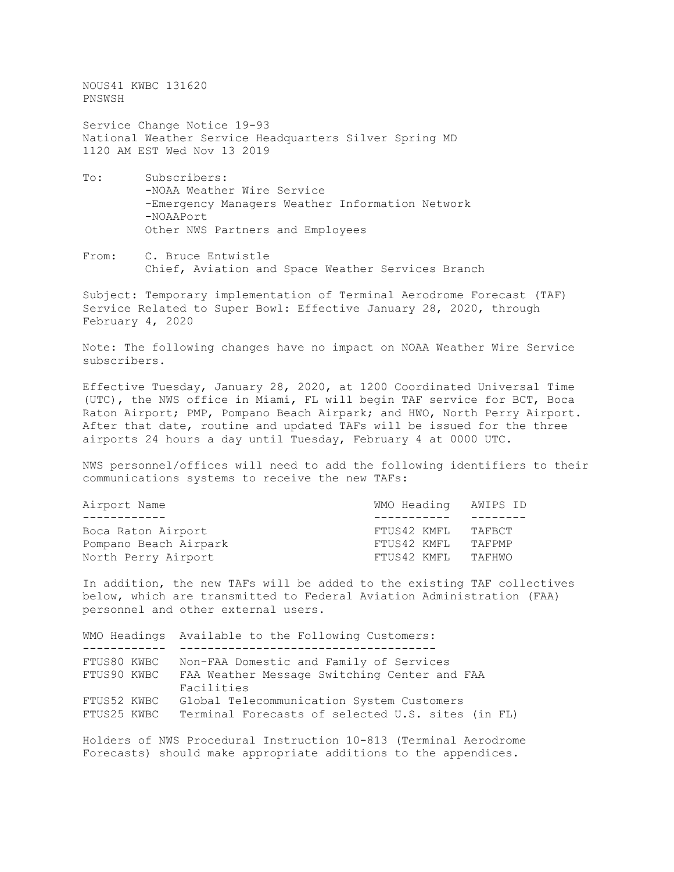NOUS41 KWBC 131620 PNSWSH

Service Change Notice 19-93 National Weather Service Headquarters Silver Spring MD 1120 AM EST Wed Nov 13 2019

- To: Subscribers: -NOAA Weather Wire Service -Emergency Managers Weather Information Network -NOAAPort Other NWS Partners and Employees
- From: C. Bruce Entwistle Chief, Aviation and Space Weather Services Branch

Subject: Temporary implementation of Terminal Aerodrome Forecast (TAF) Service Related to Super Bowl: Effective January 28, 2020, through February 4, 2020

Note: The following changes have no impact on NOAA Weather Wire Service subscribers.

Effective Tuesday, January 28, 2020, at 1200 Coordinated Universal Time (UTC), the NWS office in Miami, FL will begin TAF service for BCT, Boca Raton Airport; PMP, Pompano Beach Airpark; and HWO, North Perry Airport. After that date, routine and updated TAFs will be issued for the three airports 24 hours a day until Tuesday, February 4 at 0000 UTC.

NWS personnel/offices will need to add the following identifiers to their communications systems to receive the new TAFs:

| FTUS42 KMFL | TAFBCT               |
|-------------|----------------------|
| FTUS42 KMFL | TAFPMP               |
| FTUS42 KMFL | TAFHWO               |
|             | WMO Heading AWIPS ID |

In addition, the new TAFs will be added to the existing TAF collectives below, which are transmitted to Federal Aviation Administration (FAA) personnel and other external users.

|             | WMO Headings Available to the Following Customers: |
|-------------|----------------------------------------------------|
|             |                                                    |
| FTUS80 KWBC | Non-FAA Domestic and Family of Services            |
| FTUS90 KWBC | FAA Weather Message Switching Center and FAA       |
|             | Facilities                                         |
| FTUS52 KWBC | Global Telecommunication System Customers          |
| FTUS25 KWBC | Terminal Forecasts of selected U.S. sites (in FL)  |

Holders of NWS Procedural Instruction 10-813 (Terminal Aerodrome Forecasts) should make appropriate additions to the appendices.